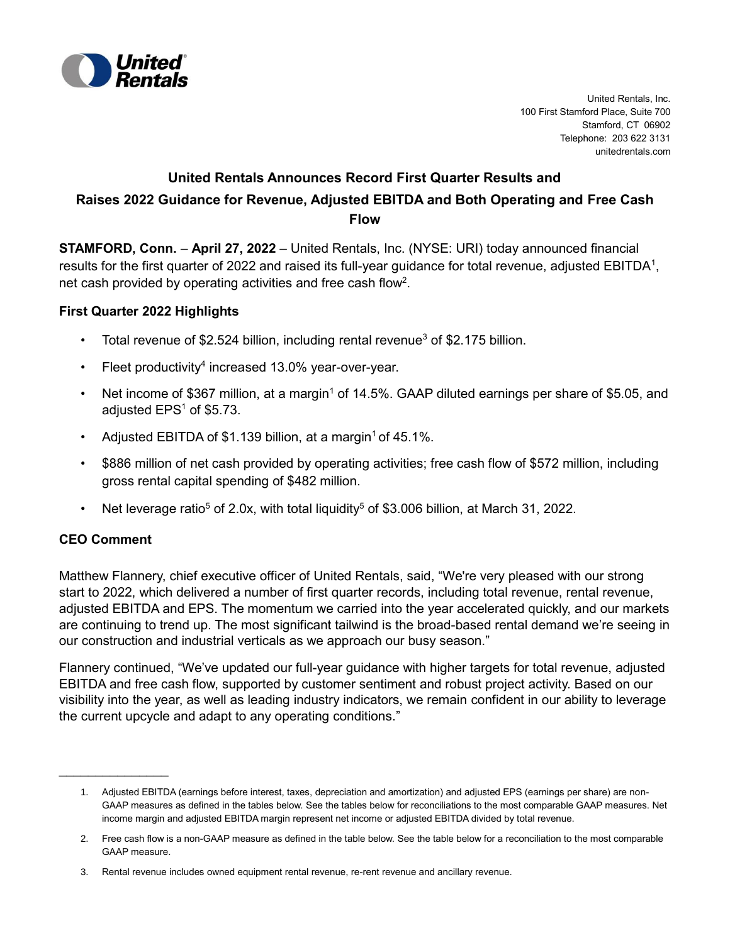

United Rentals, Inc. 100 First Stamford Place, Suite 700 Stamford, CT 06902 Telephone: 203 622 3131 unitedrentals.com

# **United Rentals Announces Record First Quarter Results and Raises 2022 Guidance for Revenue, Adjusted EBITDA and Both Operating and Free Cash Flow**

**STAMFORD, Conn.** – **April 27, 2022** – United Rentals, Inc. (NYSE: URI) today announced financial results for the first quarter of 2022 and raised its full-year guidance for total revenue, adjusted EBITDA<sup>1</sup>, net cash provided by operating activities and free cash flow<sup>2</sup>.

# **First Quarter 2022 Highlights**

- Total revenue of \$2.524 billion, including rental revenue<sup>3</sup> of \$2.175 billion.
- Fleet productivity<sup>4</sup> increased 13.0% year-over-year.
- Net income of \$367 million, at a margin<sup>1</sup> of 14.5%. GAAP diluted earnings per share of \$5.05, and adjusted  $EPS<sup>1</sup>$  of \$5.73.
- Adjusted EBITDA of \$1.139 billion, at a margin<sup>1</sup> of 45.1%.
- \$886 million of net cash provided by operating activities; free cash flow of \$572 million, including gross rental capital spending of \$482 million.
- Net leverage ratio<sup>5</sup> of 2.0x, with total liquidity<sup>5</sup> of \$3.006 billion, at March 31, 2022.

## **CEO Comment**

 $\frac{1}{2}$ 

Matthew Flannery, chief executive officer of United Rentals, said, "We're very pleased with our strong start to 2022, which delivered a number of first quarter records, including total revenue, rental revenue, adjusted EBITDA and EPS. The momentum we carried into the year accelerated quickly, and our markets are continuing to trend up. The most significant tailwind is the broad-based rental demand we're seeing in our construction and industrial verticals as we approach our busy season."

Flannery continued, "We've updated our full-year guidance with higher targets for total revenue, adjusted EBITDA and free cash flow, supported by customer sentiment and robust project activity. Based on our visibility into the year, as well as leading industry indicators, we remain confident in our ability to leverage the current upcycle and adapt to any operating conditions."

<sup>1.</sup> Adjusted EBITDA (earnings before interest, taxes, depreciation and amortization) and adjusted EPS (earnings per share) are non-GAAP measures as defined in the tables below. See the tables below for reconciliations to the most comparable GAAP measures. Net income margin and adjusted EBITDA margin represent net income or adjusted EBITDA divided by total revenue.

<sup>2.</sup> Free cash flow is a non-GAAP measure as defined in the table below. See the table below for a reconciliation to the most comparable GAAP measure.

<sup>3.</sup> Rental revenue includes owned equipment rental revenue, re-rent revenue and ancillary revenue.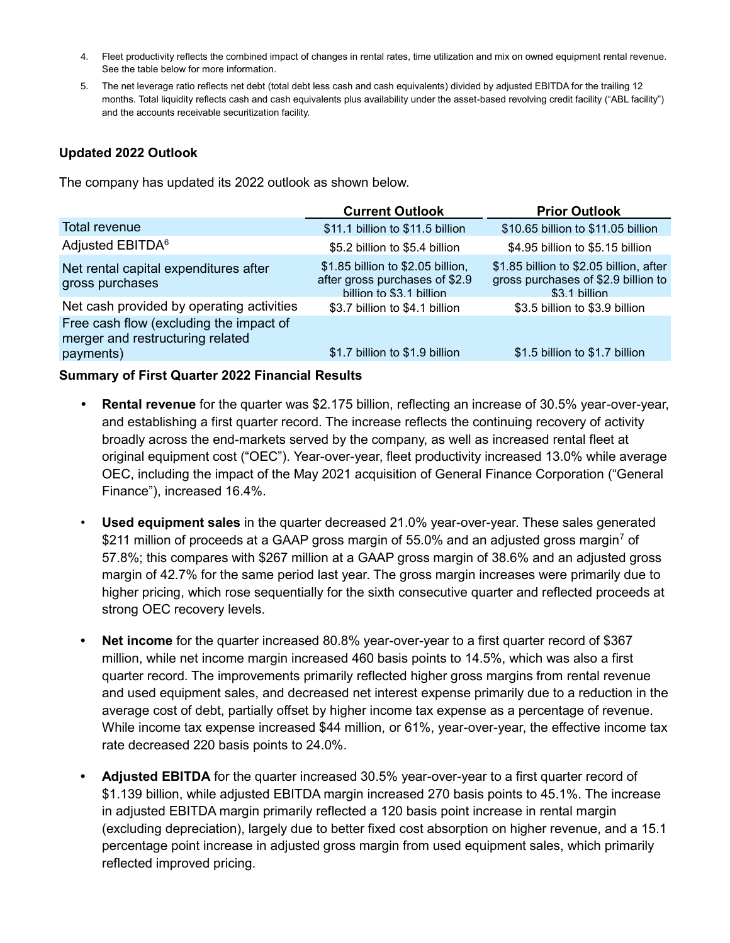- 4. Fleet productivity reflects the combined impact of changes in rental rates, time utilization and mix on owned equipment rental revenue. See the table below for more information.
- 5. The net leverage ratio reflects net debt (total debt less cash and cash equivalents) divided by adjusted EBITDA for the trailing 12 months. Total liquidity reflects cash and cash equivalents plus availability under the asset-based revolving credit facility ("ABL facility") and the accounts receivable securitization facility.

# **Updated 2022 Outlook**

The company has updated its 2022 outlook as shown below.

| <b>Current Outlook</b>                                                                          | <b>Prior Outlook</b>                                                                            |
|-------------------------------------------------------------------------------------------------|-------------------------------------------------------------------------------------------------|
| \$11.1 billion to \$11.5 billion                                                                | \$10.65 billion to \$11.05 billion                                                              |
| \$5.2 billion to \$5.4 billion                                                                  | \$4.95 billion to \$5.15 billion                                                                |
| \$1.85 billion to \$2.05 billion,<br>after gross purchases of \$2.9<br>billion to \$3.1 billion | \$1.85 billion to \$2.05 billion, after<br>gross purchases of \$2.9 billion to<br>\$3.1 billion |
| \$3.7 billion to \$4.1 billion                                                                  | \$3.5 billion to \$3.9 billion                                                                  |
| \$1.7 billion to \$1.9 billion                                                                  | \$1.5 billion to \$1.7 billion                                                                  |
|                                                                                                 |                                                                                                 |

## **Summary of First Quarter 2022 Financial Results**

- *•* **Rental revenue** for the quarter was \$2.175 billion, reflecting an increase of 30.5% year-over-year, and establishing a first quarter record. The increase reflects the continuing recovery of activity broadly across the end-markets served by the company, as well as increased rental fleet at original equipment cost ("OEC"). Year-over-year, fleet productivity increased 13.0% while average OEC, including the impact of the May 2021 acquisition of General Finance Corporation ("General Finance"), increased 16.4%.
- **Used equipment sales** in the quarter decreased 21.0% year-over-year. These sales generated \$211 million of proceeds at a GAAP gross margin of 55.0% and an adjusted gross margin<sup>7</sup> of 57.8%; this compares with \$267 million at a GAAP gross margin of 38.6% and an adjusted gross margin of 42.7% for the same period last year. The gross margin increases were primarily due to higher pricing, which rose sequentially for the sixth consecutive quarter and reflected proceeds at strong OEC recovery levels.
- **• Net income** for the quarter increased 80.8% year-over-year to a first quarter record of \$367 million, while net income margin increased 460 basis points to 14.5%, which was also a first quarter record. The improvements primarily reflected higher gross margins from rental revenue and used equipment sales, and decreased net interest expense primarily due to a reduction in the average cost of debt, partially offset by higher income tax expense as a percentage of revenue. While income tax expense increased \$44 million, or 61%, year-over-year, the effective income tax rate decreased 220 basis points to 24.0%.
- **• Adjusted EBITDA** for the quarter increased 30.5% year-over-year to a first quarter record of \$1.139 billion, while adjusted EBITDA margin increased 270 basis points to 45.1%. The increase in adjusted EBITDA margin primarily reflected a 120 basis point increase in rental margin (excluding depreciation), largely due to better fixed cost absorption on higher revenue, and a 15.1 percentage point increase in adjusted gross margin from used equipment sales, which primarily reflected improved pricing.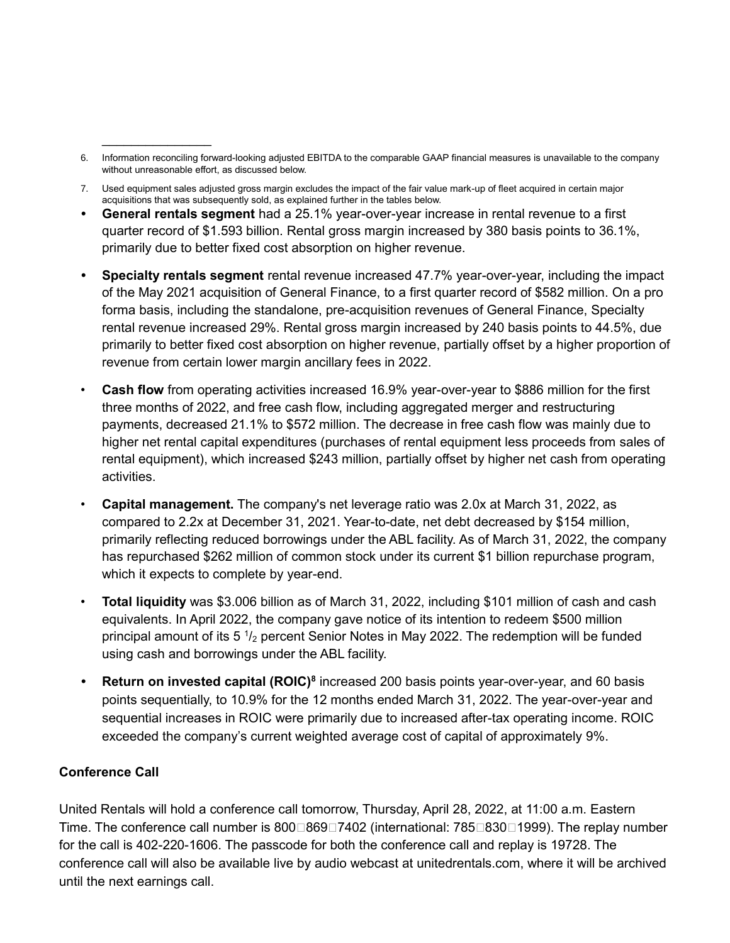- 7. Used equipment sales adjusted gross margin excludes the impact of the fair value mark-up of fleet acquired in certain major acquisitions that was subsequently sold, as explained further in the tables below.
- *•* **General rentals segment** had a 25.1% year-over-year increase in rental revenue to a first quarter record of \$1.593 billion. Rental gross margin increased by 380 basis points to 36.1%, primarily due to better fixed cost absorption on higher revenue.
- *•* **Specialty rentals segment** rental revenue increased 47.7% year-over-year, including the impact of the May 2021 acquisition of General Finance, to a first quarter record of \$582 million. On a pro forma basis, including the standalone, pre-acquisition revenues of General Finance, Specialty rental revenue increased 29%. Rental gross margin increased by 240 basis points to 44.5%, due primarily to better fixed cost absorption on higher revenue, partially offset by a higher proportion of revenue from certain lower margin ancillary fees in 2022.
- **Cash flow** from operating activities increased 16.9% year-over-year to \$886 million for the first three months of 2022, and free cash flow, including aggregated merger and restructuring payments, decreased 21.1% to \$572 million. The decrease in free cash flow was mainly due to higher net rental capital expenditures (purchases of rental equipment less proceeds from sales of rental equipment), which increased \$243 million, partially offset by higher net cash from operating activities.
- **Capital management.** The company's net leverage ratio was 2.0x at March 31, 2022, as compared to 2.2x at December 31, 2021. Year-to-date, net debt decreased by \$154 million, primarily reflecting reduced borrowings under the ABL facility. As of March 31, 2022, the company has repurchased \$262 million of common stock under its current \$1 billion repurchase program, which it expects to complete by year-end.
- **Total liquidity** was \$3.006 billion as of March 31, 2022, including \$101 million of cash and cash equivalents. In April 2022, the company gave notice of its intention to redeem \$500 million principal amount of its 5  $\frac{1}{2}$  percent Senior Notes in May 2022. The redemption will be funded using cash and borrowings under the ABL facility.
- *•* **Return on invested capital (ROIC)<sup>8</sup>** increased 200 basis points year-over-year, and 60 basis points sequentially, to 10.9% for the 12 months ended March 31, 2022. The year-over-year and sequential increases in ROIC were primarily due to increased after-tax operating income. ROIC exceeded the company's current weighted average cost of capital of approximately 9%.

# **Conference Call**

 $\frac{1}{2}$ 

United Rentals will hold a conference call tomorrow, Thursday, April 28, 2022, at 11:00 a.m. Eastern Time. The conference call number is  $800\Box 869\Box 7402$  (international:  $785\Box 830\Box 1999$ ). The replay number for the call is 402-220-1606. The passcode for both the conference call and replay is 19728. The conference call will also be available live by audio webcast at unitedrentals.com, where it will be archived until the next earnings call.

<sup>6.</sup> Information reconciling forward-looking adjusted EBITDA to the comparable GAAP financial measures is unavailable to the company without unreasonable effort, as discussed below.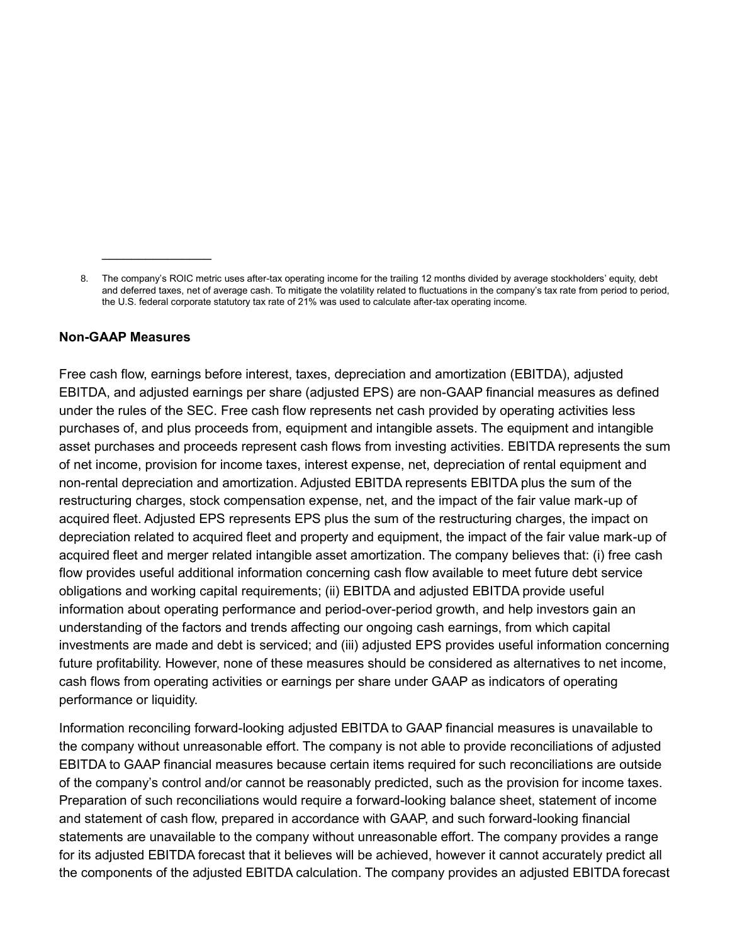### **Non-GAAP Measures**

 $\frac{1}{2}$ 

Free cash flow, earnings before interest, taxes, depreciation and amortization (EBITDA), adjusted EBITDA, and adjusted earnings per share (adjusted EPS) are non-GAAP financial measures as defined under the rules of the SEC. Free cash flow represents net cash provided by operating activities less purchases of, and plus proceeds from, equipment and intangible assets. The equipment and intangible asset purchases and proceeds represent cash flows from investing activities. EBITDA represents the sum of net income, provision for income taxes, interest expense, net, depreciation of rental equipment and non-rental depreciation and amortization. Adjusted EBITDA represents EBITDA plus the sum of the restructuring charges, stock compensation expense, net, and the impact of the fair value mark-up of acquired fleet. Adjusted EPS represents EPS plus the sum of the restructuring charges, the impact on depreciation related to acquired fleet and property and equipment, the impact of the fair value mark-up of acquired fleet and merger related intangible asset amortization. The company believes that: (i) free cash flow provides useful additional information concerning cash flow available to meet future debt service obligations and working capital requirements; (ii) EBITDA and adjusted EBITDA provide useful information about operating performance and period-over-period growth, and help investors gain an understanding of the factors and trends affecting our ongoing cash earnings, from which capital investments are made and debt is serviced; and (iii) adjusted EPS provides useful information concerning future profitability. However, none of these measures should be considered as alternatives to net income, cash flows from operating activities or earnings per share under GAAP as indicators of operating performance or liquidity.

Information reconciling forward-looking adjusted EBITDA to GAAP financial measures is unavailable to the company without unreasonable effort. The company is not able to provide reconciliations of adjusted EBITDA to GAAP financial measures because certain items required for such reconciliations are outside of the company's control and/or cannot be reasonably predicted, such as the provision for income taxes. Preparation of such reconciliations would require a forward-looking balance sheet, statement of income and statement of cash flow, prepared in accordance with GAAP, and such forward-looking financial statements are unavailable to the company without unreasonable effort. The company provides a range for its adjusted EBITDA forecast that it believes will be achieved, however it cannot accurately predict all the components of the adjusted EBITDA calculation. The company provides an adjusted EBITDA forecast

<sup>8.</sup> The company's ROIC metric uses after-tax operating income for the trailing 12 months divided by average stockholders' equity, debt and deferred taxes, net of average cash. To mitigate the volatility related to fluctuations in the company's tax rate from period to period, the U.S. federal corporate statutory tax rate of 21% was used to calculate after-tax operating income.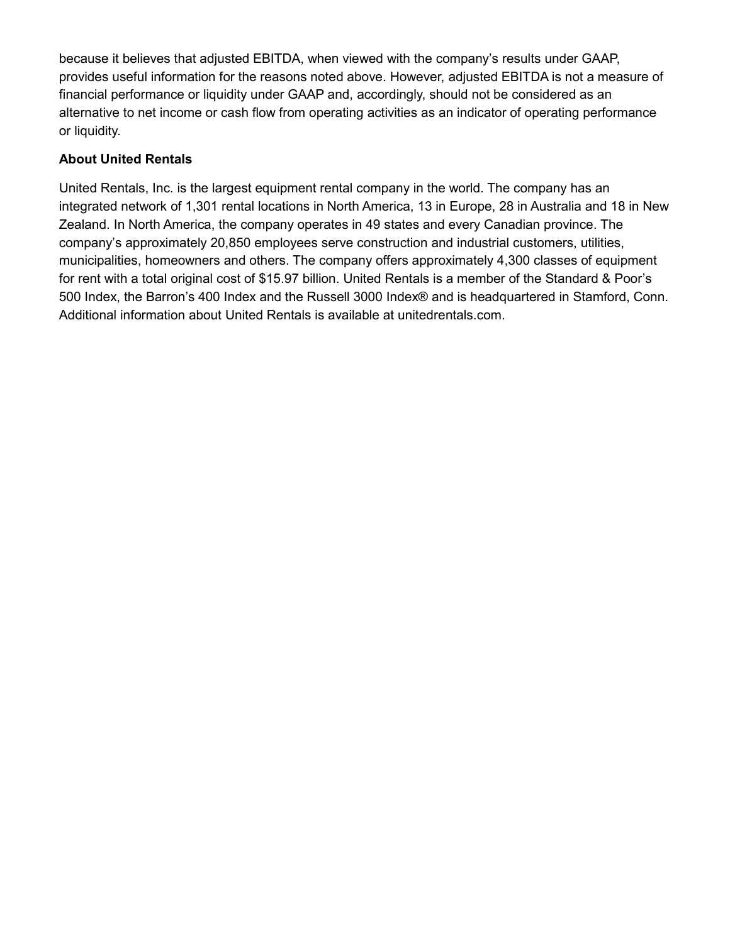because it believes that adjusted EBITDA, when viewed with the company's results under GAAP, provides useful information for the reasons noted above. However, adjusted EBITDA is not a measure of financial performance or liquidity under GAAP and, accordingly, should not be considered as an alternative to net income or cash flow from operating activities as an indicator of operating performance or liquidity.

# **About United Rentals**

United Rentals, Inc. is the largest equipment rental company in the world. The company has an integrated network of 1,301 rental locations in North America, 13 in Europe, 28 in Australia and 18 in New Zealand. In North America, the company operates in 49 states and every Canadian province. The company's approximately 20,850 employees serve construction and industrial customers, utilities, municipalities, homeowners and others. The company offers approximately 4,300 classes of equipment for rent with a total original cost of \$15.97 billion. United Rentals is a member of the Standard & Poor's 500 Index, the Barron's 400 Index and the Russell 3000 Index® and is headquartered in Stamford, Conn. Additional information about United Rentals is available at unitedrentals.com.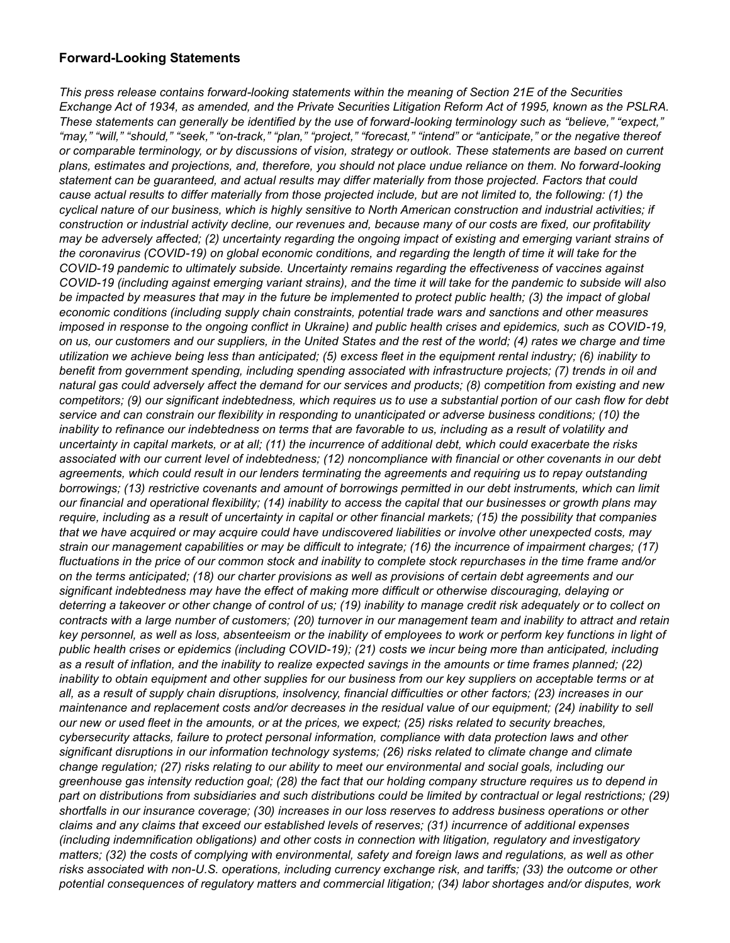## **Forward-Looking Statements**

*This press release contains forward-looking statements within the meaning of Section 21E of the Securities Exchange Act of 1934, as amended, and the Private Securities Litigation Reform Act of 1995, known as the PSLRA. These statements can generally be identified by the use of forward-looking terminology such as "believe," "expect," "may," "will," "should," "seek," "on-track," "plan," "project," "forecast," "intend" or "anticipate," or the negative thereof or comparable terminology, or by discussions of vision, strategy or outlook. These statements are based on current plans, estimates and projections, and, therefore, you should not place undue reliance on them. No forward-looking statement can be guaranteed, and actual results may differ materially from those projected. Factors that could cause actual results to differ materially from those projected include, but are not limited to, the following: (1) the cyclical nature of our business, which is highly sensitive to North American construction and industrial activities; if construction or industrial activity decline, our revenues and, because many of our costs are fixed, our profitability may be adversely affected; (2) uncertainty regarding the ongoing impact of existing and emerging variant strains of the coronavirus (COVID-19) on global economic conditions, and regarding the length of time it will take for the COVID-19 pandemic to ultimately subside. Uncertainty remains regarding the effectiveness of vaccines against COVID-19 (including against emerging variant strains), and the time it will take for the pandemic to subside will also*  be impacted by measures that may in the future be implemented to protect public health; (3) the impact of global *economic conditions (including supply chain constraints, potential trade wars and sanctions and other measures imposed in response to the ongoing conflict in Ukraine) and public health crises and epidemics, such as COVID-19, on us, our customers and our suppliers, in the United States and the rest of the world; (4) rates we charge and time utilization we achieve being less than anticipated; (5) excess fleet in the equipment rental industry; (6) inability to benefit from government spending, including spending associated with infrastructure projects; (7) trends in oil and natural gas could adversely affect the demand for our services and products; (8) competition from existing and new competitors; (9) our significant indebtedness, which requires us to use a substantial portion of our cash flow for debt service and can constrain our flexibility in responding to unanticipated or adverse business conditions; (10) the*  inability to refinance our indebtedness on terms that are favorable to us, including as a result of volatility and *uncertainty in capital markets, or at all; (11) the incurrence of additional debt, which could exacerbate the risks associated with our current level of indebtedness; (12) noncompliance with financial or other covenants in our debt agreements, which could result in our lenders terminating the agreements and requiring us to repay outstanding borrowings; (13) restrictive covenants and amount of borrowings permitted in our debt instruments, which can limit our financial and operational flexibility; (14) inability to access the capital that our businesses or growth plans may require, including as a result of uncertainty in capital or other financial markets; (15) the possibility that companies that we have acquired or may acquire could have undiscovered liabilities or involve other unexpected costs, may strain our management capabilities or may be difficult to integrate; (16) the incurrence of impairment charges; (17) fluctuations in the price of our common stock and inability to complete stock repurchases in the time frame and/or on the terms anticipated; (18) our charter provisions as well as provisions of certain debt agreements and our significant indebtedness may have the effect of making more difficult or otherwise discouraging, delaying or deterring a takeover or other change of control of us; (19) inability to manage credit risk adequately or to collect on contracts with a large number of customers; (20) turnover in our management team and inability to attract and retain key personnel, as well as loss, absenteeism or the inability of employees to work or perform key functions in light of public health crises or epidemics (including COVID-19); (21) costs we incur being more than anticipated, including*  as a result of inflation, and the inability to realize expected savings in the amounts or time frames planned; (22) *inability to obtain equipment and other supplies for our business from our key suppliers on acceptable terms or at all, as a result of supply chain disruptions, insolvency, financial difficulties or other factors; (23) increases in our maintenance and replacement costs and/or decreases in the residual value of our equipment; (24) inability to sell our new or used fleet in the amounts, or at the prices, we expect; (25) risks related to security breaches, cybersecurity attacks, failure to protect personal information, compliance with data protection laws and other significant disruptions in our information technology systems; (26) risks related to climate change and climate change regulation; (27) risks relating to our ability to meet our environmental and social goals, including our greenhouse gas intensity reduction goal; (28) the fact that our holding company structure requires us to depend in part on distributions from subsidiaries and such distributions could be limited by contractual or legal restrictions; (29) shortfalls in our insurance coverage; (30) increases in our loss reserves to address business operations or other claims and any claims that exceed our established levels of reserves; (31) incurrence of additional expenses (including indemnification obligations) and other costs in connection with litigation, regulatory and investigatory matters; (32) the costs of complying with environmental, safety and foreign laws and regulations, as well as other risks associated with non-U.S. operations, including currency exchange risk, and tariffs; (33) the outcome or other potential consequences of regulatory matters and commercial litigation; (34) labor shortages and/or disputes, work*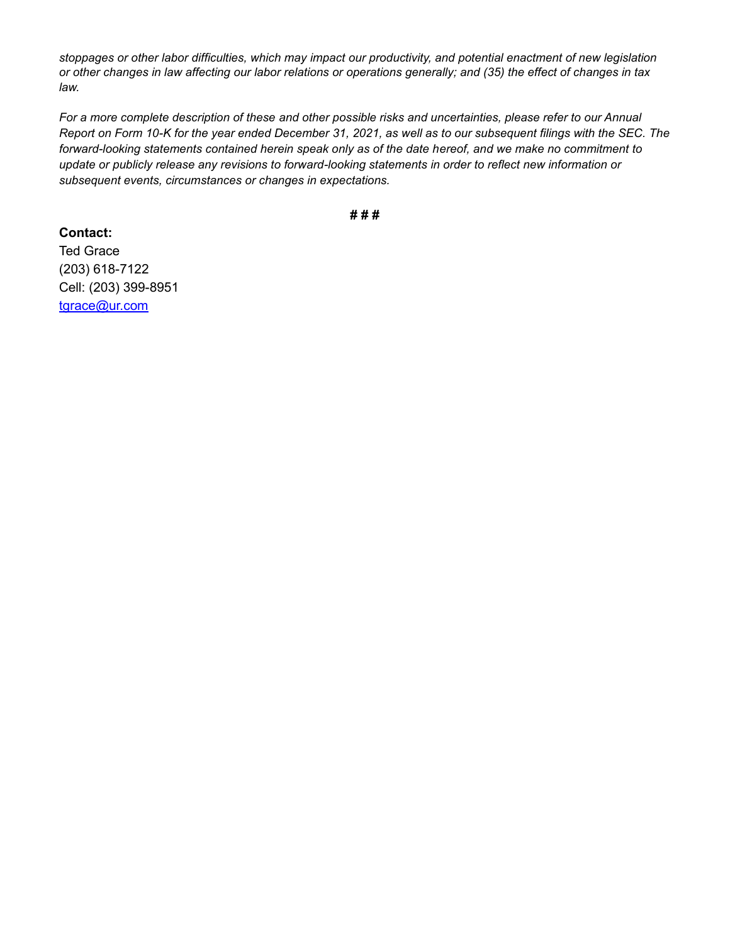*stoppages or other labor difficulties, which may impact our productivity, and potential enactment of new legislation or other changes in law affecting our labor relations or operations generally; and (35) the effect of changes in tax law.* 

*For a more complete description of these and other possible risks and uncertainties, please refer to our Annual Report on Form 10-K for the year ended December 31, 2021, as well as to our subsequent filings with the SEC. The forward-looking statements contained herein speak only as of the date hereof, and we make no commitment to update or publicly release any revisions to forward-looking statements in order to reflect new information or subsequent events, circumstances or changes in expectations.*

**# # #**

# **Contact:**

Ted Grace (203) 618-7122 Cell: (203) 399-8951 tgrace@ur.com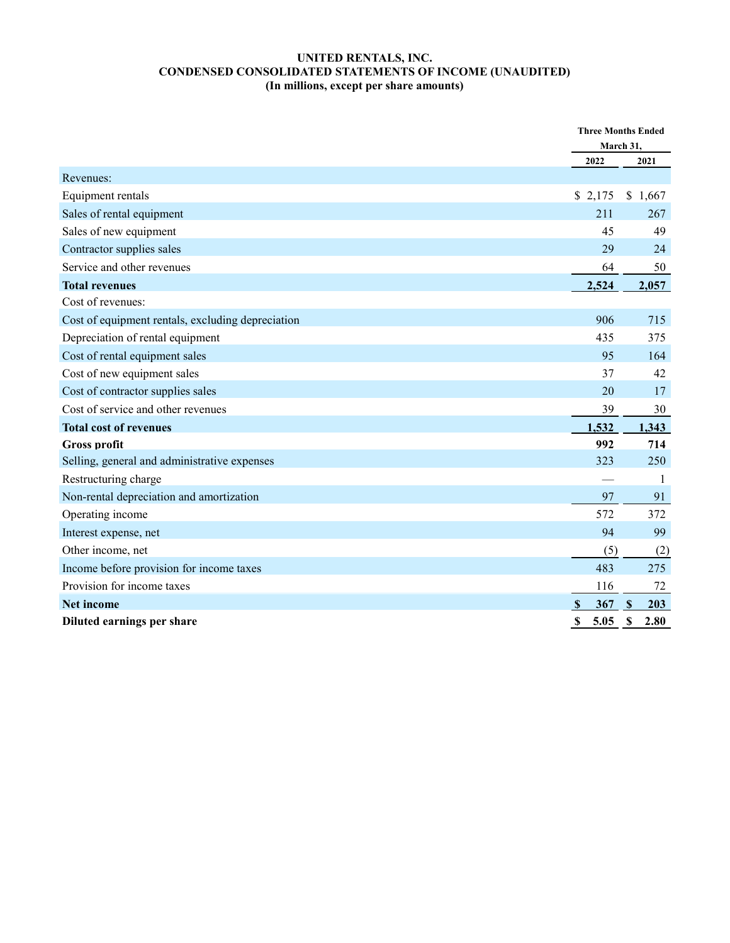### **UNITED RENTALS, INC. CONDENSED CONSOLIDATED STATEMENTS OF INCOME (UNAUDITED) (In millions, except per share amounts)**

|                                                   | <b>Three Months Ended</b> |         |                           |         |
|---------------------------------------------------|---------------------------|---------|---------------------------|---------|
|                                                   | March 31,                 |         |                           |         |
|                                                   |                           | 2022    |                           | 2021    |
| Revenues:                                         |                           |         |                           |         |
| Equipment rentals                                 |                           | \$2,175 |                           | \$1,667 |
| Sales of rental equipment                         |                           | 211     |                           | 267     |
| Sales of new equipment                            |                           | 45      |                           | 49      |
| Contractor supplies sales                         |                           | 29      |                           | 24      |
| Service and other revenues                        |                           | 64      |                           | 50      |
| <b>Total revenues</b>                             |                           | 2,524   |                           | 2,057   |
| Cost of revenues:                                 |                           |         |                           |         |
| Cost of equipment rentals, excluding depreciation |                           | 906     |                           | 715     |
| Depreciation of rental equipment                  |                           | 435     |                           | 375     |
| Cost of rental equipment sales                    |                           | 95      |                           | 164     |
| Cost of new equipment sales                       |                           | 37      |                           | 42      |
| Cost of contractor supplies sales                 |                           | 20      |                           | 17      |
| Cost of service and other revenues                |                           | 39      |                           | 30      |
| <b>Total cost of revenues</b>                     |                           | 1,532   |                           | 1,343   |
| <b>Gross profit</b>                               |                           | 992     |                           | 714     |
| Selling, general and administrative expenses      |                           | 323     |                           | 250     |
| Restructuring charge                              |                           |         |                           | 1       |
| Non-rental depreciation and amortization          |                           | 97      |                           | 91      |
| Operating income                                  |                           | 572     |                           | 372     |
| Interest expense, net                             |                           | 94      |                           | 99      |
| Other income, net                                 |                           | (5)     |                           | (2)     |
| Income before provision for income taxes          |                           | 483     |                           | 275     |
| Provision for income taxes                        |                           | 116     |                           | 72      |
| <b>Net income</b>                                 | $\mathbf{s}$              | 367     | <sup>S</sup>              | 203     |
| Diluted earnings per share                        | \$                        | 5.05    | $\boldsymbol{\mathsf{s}}$ | 2.80    |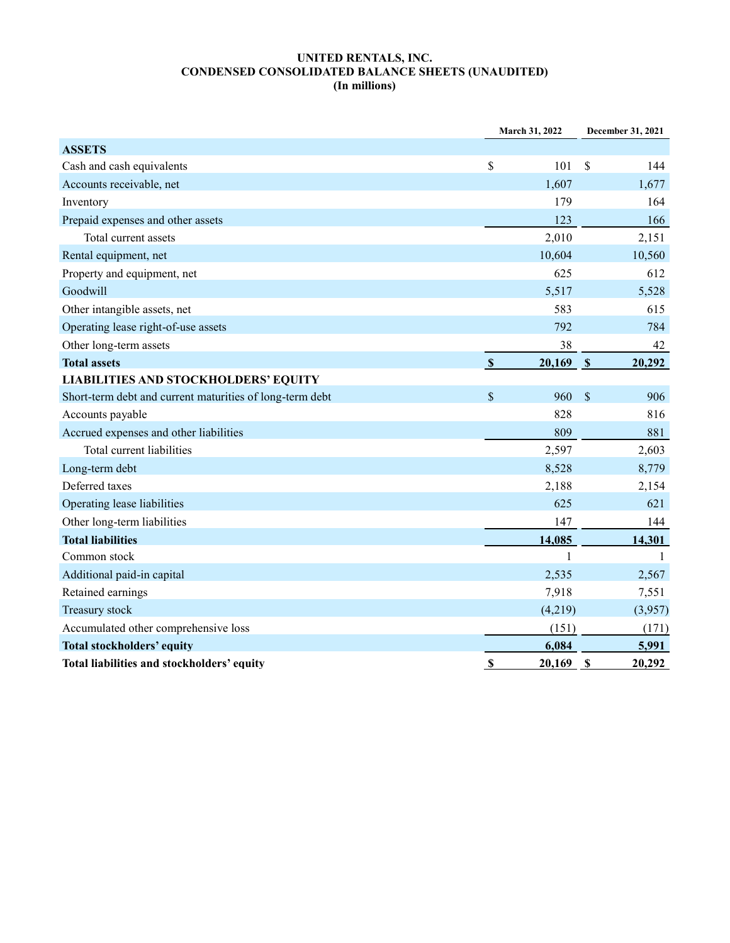### **UNITED RENTALS, INC. CONDENSED CONSOLIDATED BALANCE SHEETS (UNAUDITED) (In millions)**

|                                                          |               | March 31, 2022 |                           | December 31, 2021 |
|----------------------------------------------------------|---------------|----------------|---------------------------|-------------------|
| <b>ASSETS</b>                                            |               |                |                           |                   |
| Cash and cash equivalents                                | \$            | 101            | $\mathcal{S}$             | 144               |
| Accounts receivable, net                                 |               | 1,607          |                           | 1,677             |
| Inventory                                                |               | 179            |                           | 164               |
| Prepaid expenses and other assets                        |               | 123            |                           | 166               |
| Total current assets                                     |               | 2,010          |                           | 2,151             |
| Rental equipment, net                                    |               | 10,604         |                           | 10,560            |
| Property and equipment, net                              |               | 625            |                           | 612               |
| Goodwill                                                 |               | 5,517          |                           | 5,528             |
| Other intangible assets, net                             |               | 583            |                           | 615               |
| Operating lease right-of-use assets                      |               | 792            |                           | 784               |
| Other long-term assets                                   |               | 38             |                           | 42                |
| <b>Total assets</b>                                      | $\mathbf{\$}$ | 20,169         | $\mathbf{s}$              | 20,292            |
| <b>LIABILITIES AND STOCKHOLDERS' EQUITY</b>              |               |                |                           |                   |
| Short-term debt and current maturities of long-term debt | \$            | 960            | $\mathcal{S}$             | 906               |
| Accounts payable                                         |               | 828            |                           | 816               |
| Accrued expenses and other liabilities                   |               | 809            |                           | 881               |
| Total current liabilities                                |               | 2,597          |                           | 2,603             |
| Long-term debt                                           |               | 8,528          |                           | 8,779             |
| Deferred taxes                                           |               | 2,188          |                           | 2,154             |
| Operating lease liabilities                              |               | 625            |                           | 621               |
| Other long-term liabilities                              |               | 147            |                           | 144               |
| <b>Total liabilities</b>                                 |               | 14,085         |                           | 14,301            |
| Common stock                                             |               | 1              |                           |                   |
| Additional paid-in capital                               |               | 2,535          |                           | 2,567             |
| Retained earnings                                        |               | 7,918          |                           | 7,551             |
| Treasury stock                                           |               | (4,219)        |                           | (3,957)           |
| Accumulated other comprehensive loss                     |               | (151)          |                           | (171)             |
| <b>Total stockholders' equity</b>                        |               | 6,084          |                           | 5,991             |
| Total liabilities and stockholders' equity               | \$            | 20,169         | $\boldsymbol{\mathsf{S}}$ | 20,292            |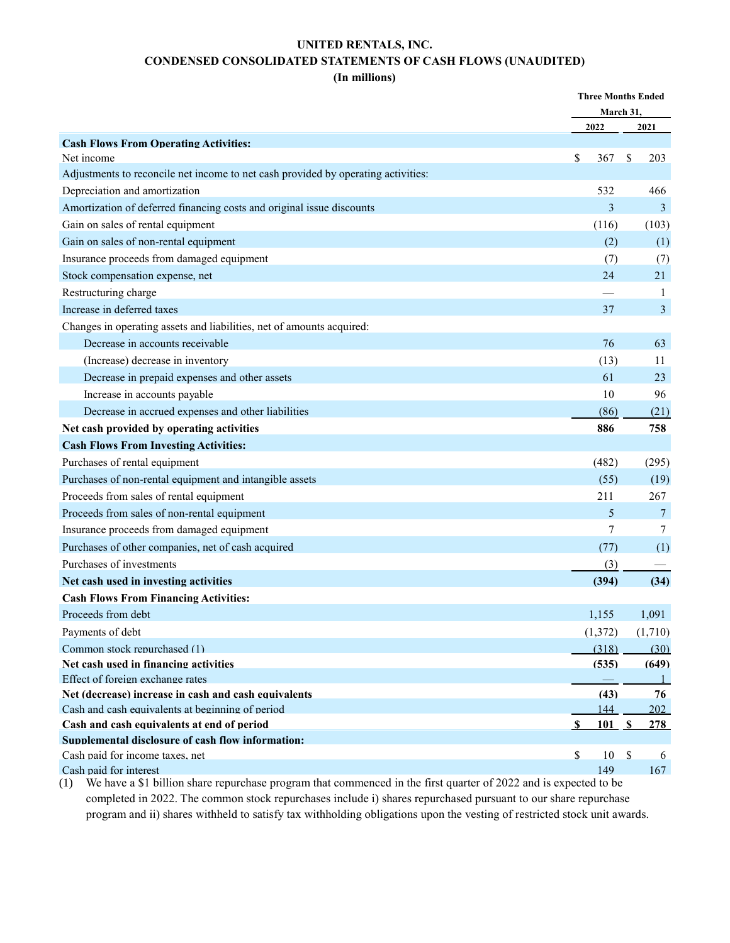# **UNITED RENTALS, INC. CONDENSED CONSOLIDATED STATEMENTS OF CASH FLOWS (UNAUDITED)**

### **(In millions)**

|                                                                                                                                                  | <b>Three Months Ended</b><br>March 31, |           |               |         |
|--------------------------------------------------------------------------------------------------------------------------------------------------|----------------------------------------|-----------|---------------|---------|
|                                                                                                                                                  | 2022                                   |           |               | 2021    |
| <b>Cash Flows From Operating Activities:</b>                                                                                                     |                                        |           |               |         |
| Net income                                                                                                                                       | \$                                     | 367       | <sup>\$</sup> | 203     |
| Adjustments to reconcile net income to net cash provided by operating activities:                                                                |                                        |           |               |         |
| Depreciation and amortization                                                                                                                    |                                        | 532       |               | 466     |
| Amortization of deferred financing costs and original issue discounts                                                                            |                                        | 3         |               | 3       |
| Gain on sales of rental equipment                                                                                                                |                                        | (116)     |               | (103)   |
| Gain on sales of non-rental equipment                                                                                                            |                                        | (2)       |               | (1)     |
| Insurance proceeds from damaged equipment                                                                                                        |                                        | (7)       |               | (7)     |
| Stock compensation expense, net                                                                                                                  |                                        | 24        |               | 21      |
| Restructuring charge                                                                                                                             |                                        |           |               | -1      |
| Increase in deferred taxes                                                                                                                       |                                        | 37        |               | 3       |
| Changes in operating assets and liabilities, net of amounts acquired:                                                                            |                                        |           |               |         |
| Decrease in accounts receivable                                                                                                                  |                                        | 76        |               | 63      |
| (Increase) decrease in inventory                                                                                                                 |                                        | (13)      |               | 11      |
| Decrease in prepaid expenses and other assets                                                                                                    |                                        | 61        |               | 23      |
| Increase in accounts payable                                                                                                                     |                                        | 10        |               | 96      |
| Decrease in accrued expenses and other liabilities                                                                                               |                                        | (86)      |               | (21)    |
| Net cash provided by operating activities                                                                                                        |                                        | 886       |               | 758     |
| <b>Cash Flows From Investing Activities:</b>                                                                                                     |                                        |           |               |         |
| Purchases of rental equipment                                                                                                                    |                                        | (482)     |               | (295)   |
| Purchases of non-rental equipment and intangible assets                                                                                          |                                        | (55)      |               | (19)    |
| Proceeds from sales of rental equipment                                                                                                          |                                        | 211       |               | 267     |
| Proceeds from sales of non-rental equipment                                                                                                      |                                        | 5         |               | 7       |
| Insurance proceeds from damaged equipment                                                                                                        |                                        | 7         |               | 7       |
| Purchases of other companies, net of cash acquired                                                                                               |                                        | (77)      |               | (1)     |
| Purchases of investments                                                                                                                         |                                        | (3)       |               |         |
| Net cash used in investing activities                                                                                                            |                                        | (394)     |               | (34)    |
| <b>Cash Flows From Financing Activities:</b>                                                                                                     |                                        |           |               |         |
| Proceeds from debt                                                                                                                               |                                        | 1,155     |               | 1,091   |
| Payments of debt                                                                                                                                 |                                        | (1,372)   |               | (1,710) |
| Common stock repurchased (1)                                                                                                                     |                                        | (318)     |               | (30)    |
| Net cash used in financing activities                                                                                                            |                                        | (535)     |               | (649)   |
| Effect of foreign exchange rates                                                                                                                 |                                        |           |               |         |
| Net (decrease) increase in cash and cash equivalents                                                                                             |                                        | (43)      |               | 76      |
| Cash and cash equivalents at beginning of period                                                                                                 |                                        | 144       |               | 202     |
| Cash and cash equivalents at end of period                                                                                                       |                                        | 101S      |               | 278     |
| Supplemental disclosure of cash flow information:                                                                                                |                                        |           |               |         |
| Cash paid for income taxes, net                                                                                                                  | $\boldsymbol{\mathsf{S}}$              | 10<br>149 | -S            | 6       |
| Cash paid for interest<br>(1) We have a \$1 billion share repurchase program that commenced in the first quarter of $2022$ and is expected to be |                                        |           |               | 167     |

(1) We have a \$1 billion share repurchase program that commenced in the first quarter of 2022 and is expected to be completed in 2022. The common stock repurchases include i) shares repurchased pursuant to our share repurchase program and ii) shares withheld to satisfy tax withholding obligations upon the vesting of restricted stock unit awards.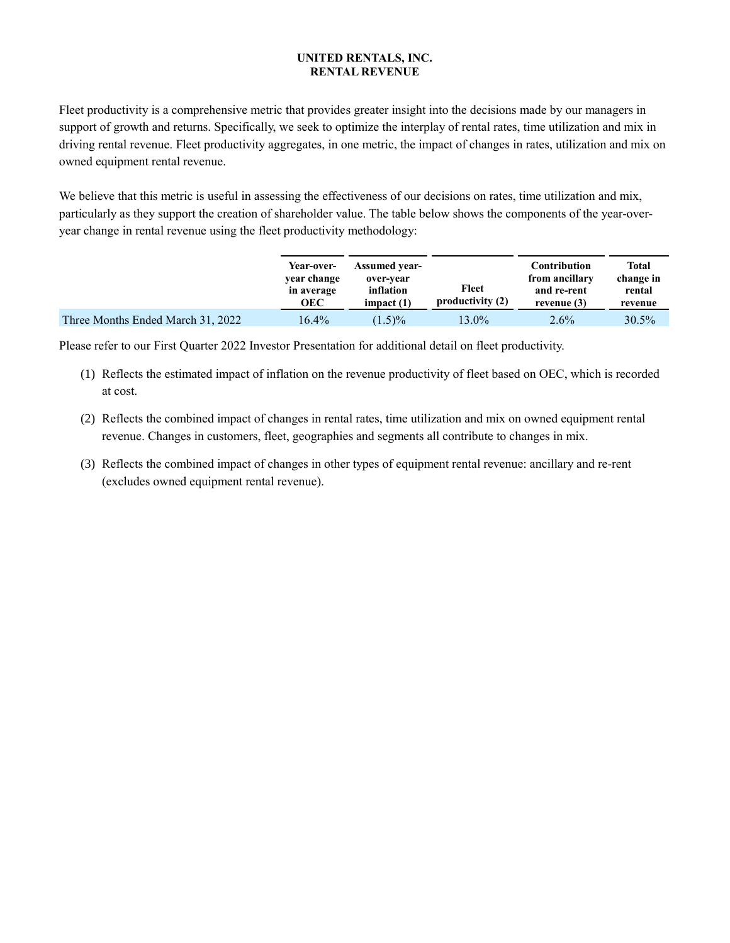### **UNITED RENTALS, INC. RENTAL REVENUE**

Fleet productivity is a comprehensive metric that provides greater insight into the decisions made by our managers in support of growth and returns. Specifically, we seek to optimize the interplay of rental rates, time utilization and mix in driving rental revenue. Fleet productivity aggregates, in one metric, the impact of changes in rates, utilization and mix on owned equipment rental revenue.

We believe that this metric is useful in assessing the effectiveness of our decisions on rates, time utilization and mix, particularly as they support the creation of shareholder value. The table below shows the components of the year-overyear change in rental revenue using the fleet productivity methodology:

|                                   | Year-over-<br>vear change<br>in average<br><b>OEC</b> | <b>Assumed year-</b><br>over-vear<br>inflation<br>impact(1) | Fleet<br>productivity (2) | Contribution<br>from ancillary<br>and re-rent<br>revenue $(3)$ | Total<br>change in<br>rental<br>revenue |
|-----------------------------------|-------------------------------------------------------|-------------------------------------------------------------|---------------------------|----------------------------------------------------------------|-----------------------------------------|
| Three Months Ended March 31, 2022 | $16.4\%$                                              | $(1.5)\%$                                                   | 13.0%                     | $2.6\%$                                                        | 30.5%                                   |

Please refer to our First Quarter 2022 Investor Presentation for additional detail on fleet productivity.

- (1) Reflects the estimated impact of inflation on the revenue productivity of fleet based on OEC, which is recorded at cost.
- (2) Reflects the combined impact of changes in rental rates, time utilization and mix on owned equipment rental revenue. Changes in customers, fleet, geographies and segments all contribute to changes in mix.
- (3) Reflects the combined impact of changes in other types of equipment rental revenue: ancillary and re-rent (excludes owned equipment rental revenue).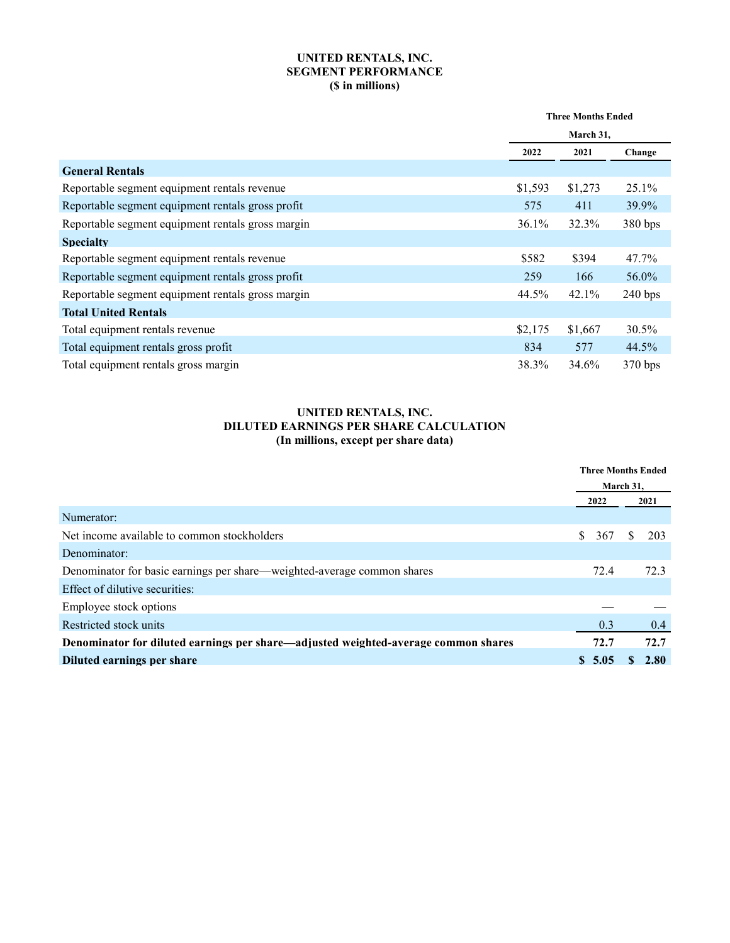### **UNITED RENTALS, INC. SEGMENT PERFORMANCE (\$ in millions)**

|                                                   | <b>Three Months Ended</b> |         |         |
|---------------------------------------------------|---------------------------|---------|---------|
|                                                   | March 31,                 |         |         |
|                                                   | 2022                      | 2021    | Change  |
| <b>General Rentals</b>                            |                           |         |         |
| Reportable segment equipment rentals revenue      | \$1,593                   | \$1,273 | 25.1%   |
| Reportable segment equipment rentals gross profit | 575                       | 411     | 39.9%   |
| Reportable segment equipment rentals gross margin | $36.1\%$                  | 32.3%   | 380 bps |
| <b>Specialty</b>                                  |                           |         |         |
| Reportable segment equipment rentals revenue      | \$582                     | \$394   | 47.7%   |
| Reportable segment equipment rentals gross profit | 259                       | 166     | 56.0%   |
| Reportable segment equipment rentals gross margin | 44.5%                     | 42.1%   | 240 bps |
| <b>Total United Rentals</b>                       |                           |         |         |
| Total equipment rentals revenue                   | \$2,175                   | \$1,667 | 30.5%   |
| Total equipment rentals gross profit              | 834                       | 577     | 44.5%   |
| Total equipment rentals gross margin              | 38.3%                     | 34.6%   | 370 bps |

### **UNITED RENTALS, INC. DILUTED EARNINGS PER SHARE CALCULATION (In millions, except per share data)**

|                                                                                    | <b>Three Months Ended</b> |           |  |      |
|------------------------------------------------------------------------------------|---------------------------|-----------|--|------|
|                                                                                    |                           | March 31, |  |      |
|                                                                                    |                           | 2022      |  | 2021 |
| Numerator:                                                                         |                           |           |  |      |
| Net income available to common stockholders                                        | S.                        | 367       |  | 203  |
| Denominator:                                                                       |                           |           |  |      |
| Denominator for basic earnings per share—weighted-average common shares            |                           | 72.4      |  | 72.3 |
| Effect of dilutive securities:                                                     |                           |           |  |      |
| Employee stock options                                                             |                           |           |  |      |
| Restricted stock units                                                             |                           | 0.3       |  | 0.4  |
| Denominator for diluted earnings per share—adjusted weighted-average common shares |                           | 72.7      |  | 72.7 |
| Diluted earnings per share                                                         |                           | \$5.05    |  | 2.80 |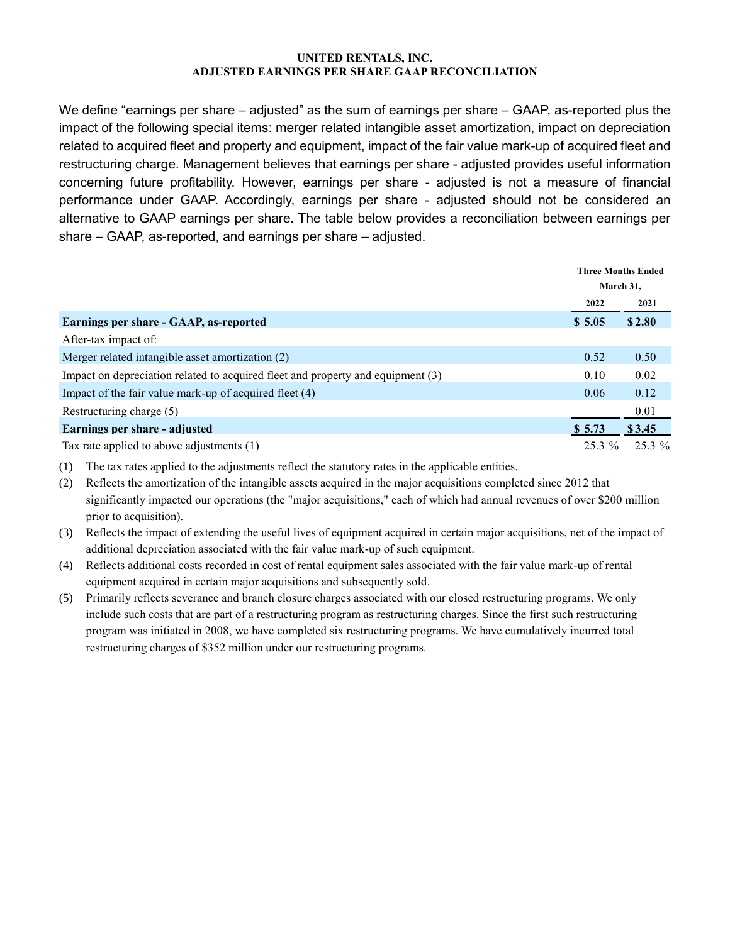### **UNITED RENTALS, INC. ADJUSTED EARNINGS PER SHARE GAAP RECONCILIATION**

We define "earnings per share – adjusted" as the sum of earnings per share – GAAP, as-reported plus the impact of the following special items: merger related intangible asset amortization, impact on depreciation related to acquired fleet and property and equipment, impact of the fair value mark-up of acquired fleet and restructuring charge. Management believes that earnings per share - adjusted provides useful information concerning future profitability. However, earnings per share - adjusted is not a measure of financial performance under GAAP. Accordingly, earnings per share - adjusted should not be considered an alternative to GAAP earnings per share. The table below provides a reconciliation between earnings per share – GAAP, as-reported, and earnings per share – adjusted.

|                                                                                 |          | <b>Three Months Ended</b><br>March 31, |
|---------------------------------------------------------------------------------|----------|----------------------------------------|
|                                                                                 | 2022     | 2021                                   |
| Earnings per share - GAAP, as-reported                                          | \$5.05   | \$2.80                                 |
| After-tax impact of:                                                            |          |                                        |
| Merger related intangible asset amortization (2)                                | 0.52     | 0.50                                   |
| Impact on depreciation related to acquired fleet and property and equipment (3) | 0.10     | 0.02                                   |
| Impact of the fair value mark-up of acquired fleet (4)                          | 0.06     | 0.12                                   |
| Restructuring charge (5)                                                        |          | 0.01                                   |
| Earnings per share - adjusted                                                   | \$5.73   | \$3.45                                 |
| Tax rate applied to above adjustments (1)                                       | $25.3\%$ | 25.3 %                                 |

(1) The tax rates applied to the adjustments reflect the statutory rates in the applicable entities.

(2) Reflects the amortization of the intangible assets acquired in the major acquisitions completed since 2012 that significantly impacted our operations (the "major acquisitions," each of which had annual revenues of over \$200 million prior to acquisition).

- (3) Reflects the impact of extending the useful lives of equipment acquired in certain major acquisitions, net of the impact of additional depreciation associated with the fair value mark-up of such equipment.
- (4) Reflects additional costs recorded in cost of rental equipment sales associated with the fair value mark-up of rental equipment acquired in certain major acquisitions and subsequently sold.
- (5) Primarily reflects severance and branch closure charges associated with our closed restructuring programs. We only include such costs that are part of a restructuring program as restructuring charges. Since the first such restructuring program was initiated in 2008, we have completed six restructuring programs. We have cumulatively incurred total restructuring charges of \$352 million under our restructuring programs.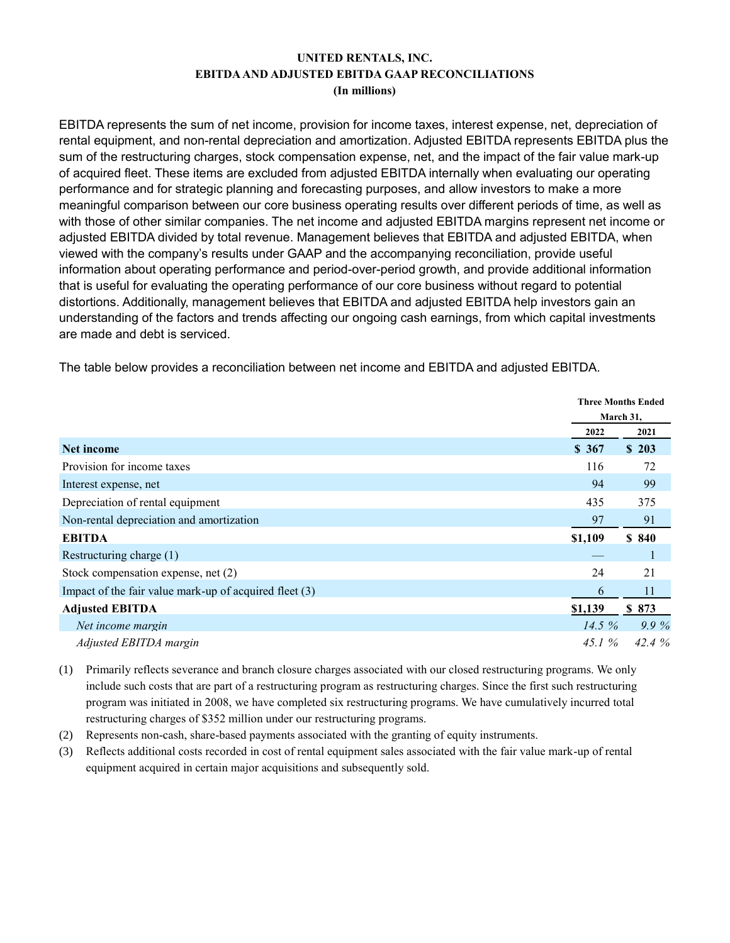## **UNITED RENTALS, INC. EBITDA AND ADJUSTED EBITDA GAAP RECONCILIATIONS (In millions)**

EBITDA represents the sum of net income, provision for income taxes, interest expense, net, depreciation of rental equipment, and non-rental depreciation and amortization. Adjusted EBITDA represents EBITDA plus the sum of the restructuring charges, stock compensation expense, net, and the impact of the fair value mark-up of acquired fleet. These items are excluded from adjusted EBITDA internally when evaluating our operating performance and for strategic planning and forecasting purposes, and allow investors to make a more meaningful comparison between our core business operating results over different periods of time, as well as with those of other similar companies. The net income and adjusted EBITDA margins represent net income or adjusted EBITDA divided by total revenue. Management believes that EBITDA and adjusted EBITDA, when viewed with the company's results under GAAP and the accompanying reconciliation, provide useful information about operating performance and period-over-period growth, and provide additional information that is useful for evaluating the operating performance of our core business without regard to potential distortions. Additionally, management believes that EBITDA and adjusted EBITDA help investors gain an understanding of the factors and trends affecting our ongoing cash earnings, from which capital investments are made and debt is serviced.

The table below provides a reconciliation between net income and EBITDA and adjusted EBITDA.

|                                                        |          | <b>Three Months Ended</b> |
|--------------------------------------------------------|----------|---------------------------|
|                                                        |          | March 31,                 |
|                                                        | 2022     | 2021                      |
| Net income                                             | \$367    | \$203                     |
| Provision for income taxes                             | 116      | 72                        |
| Interest expense, net                                  | 94       | 99                        |
| Depreciation of rental equipment                       | 435      | 375                       |
| Non-rental depreciation and amortization               | 97       | 91                        |
| <b>EBITDA</b>                                          | \$1,109  | \$840                     |
| Restructuring charge (1)                               |          |                           |
| Stock compensation expense, net (2)                    | 24       | 21                        |
| Impact of the fair value mark-up of acquired fleet (3) | 6        | 11                        |
| <b>Adjusted EBITDA</b>                                 | \$1,139  | \$873                     |
| Net income margin                                      | 14.5%    | 9.9%                      |
| Adjusted EBITDA margin                                 | 45.1 $%$ | 42.4 %                    |

(1) Primarily reflects severance and branch closure charges associated with our closed restructuring programs. We only include such costs that are part of a restructuring program as restructuring charges. Since the first such restructuring program was initiated in 2008, we have completed six restructuring programs. We have cumulatively incurred total restructuring charges of \$352 million under our restructuring programs.

- (2) Represents non-cash, share-based payments associated with the granting of equity instruments.
- (3) Reflects additional costs recorded in cost of rental equipment sales associated with the fair value mark-up of rental equipment acquired in certain major acquisitions and subsequently sold.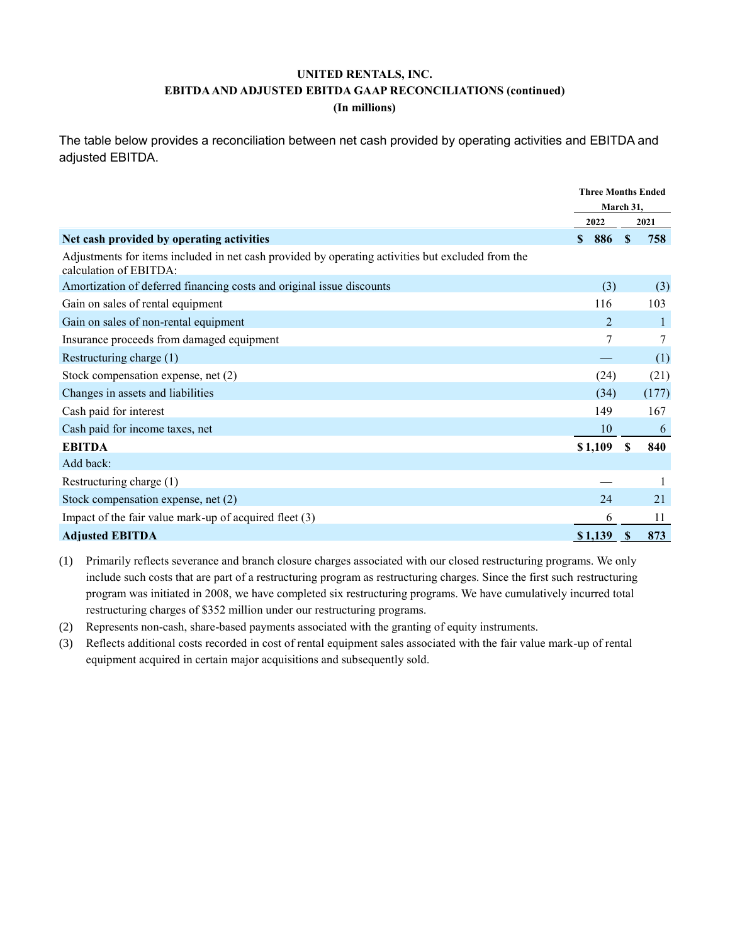#### **UNITED RENTALS, INC.**

#### **EBITDA AND ADJUSTED EBITDA GAAP RECONCILIATIONS (continued)**

**(In millions)**

The table below provides a reconciliation between net cash provided by operating activities and EBITDA and adjusted EBITDA.

|                                                                                                                             |      |                |               | <b>Three Months Ended</b><br>March 31, |  |
|-----------------------------------------------------------------------------------------------------------------------------|------|----------------|---------------|----------------------------------------|--|
|                                                                                                                             | 2022 |                |               | 2021                                   |  |
| Net cash provided by operating activities                                                                                   |      | \$86           | <sup>\$</sup> | 758                                    |  |
| Adjustments for items included in net cash provided by operating activities but excluded from the<br>calculation of EBITDA: |      |                |               |                                        |  |
| Amortization of deferred financing costs and original issue discounts                                                       |      | (3)            |               | (3)                                    |  |
| Gain on sales of rental equipment                                                                                           |      | 116            |               | 103                                    |  |
| Gain on sales of non-rental equipment                                                                                       |      | $\mathfrak{D}$ |               |                                        |  |
| Insurance proceeds from damaged equipment                                                                                   |      | 7              |               | 7                                      |  |
| Restructuring charge (1)                                                                                                    |      |                |               | (1)                                    |  |
| Stock compensation expense, net (2)                                                                                         |      | (24)           |               | (21)                                   |  |
| Changes in assets and liabilities                                                                                           |      | (34)           |               | (177)                                  |  |
| Cash paid for interest                                                                                                      |      | 149            |               | 167                                    |  |
| Cash paid for income taxes, net                                                                                             |      | 10             |               | 6                                      |  |
| <b>EBITDA</b>                                                                                                               |      | \$1,109        | S             | 840                                    |  |
| Add back:                                                                                                                   |      |                |               |                                        |  |
| Restructuring charge (1)                                                                                                    |      |                |               |                                        |  |
| Stock compensation expense, net (2)                                                                                         |      | 24             |               | 21                                     |  |
| Impact of the fair value mark-up of acquired fleet $(3)$                                                                    |      | 6              |               | 11                                     |  |
| <b>Adjusted EBITDA</b>                                                                                                      |      | \$1,139        | -S            | 873                                    |  |

(1) Primarily reflects severance and branch closure charges associated with our closed restructuring programs. We only include such costs that are part of a restructuring program as restructuring charges. Since the first such restructuring program was initiated in 2008, we have completed six restructuring programs. We have cumulatively incurred total restructuring charges of \$352 million under our restructuring programs.

(2) Represents non-cash, share-based payments associated with the granting of equity instruments.

(3) Reflects additional costs recorded in cost of rental equipment sales associated with the fair value mark-up of rental equipment acquired in certain major acquisitions and subsequently sold.